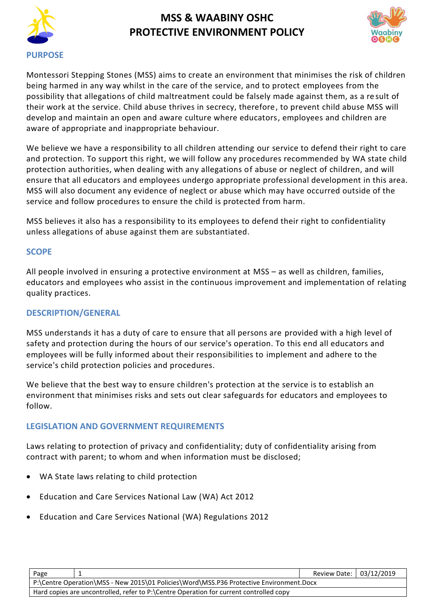



Montessori Stepping Stones (MSS) aims to create an environment that minimises the risk of children being harmed in any way whilst in the care of the service, and to protect employees from the possibility that allegations of child maltreatment could be falsely made against them, as a re sult of their work at the service. Child abuse thrives in secrecy, therefore, to prevent child abuse MSS will develop and maintain an open and aware culture where educators, employees and children are aware of appropriate and inappropriate behaviour.

We believe we have a responsibility to all children attending our service to defend their right to care and protection. To support this right, we will follow any procedures recommended by WA state child protection authorities, when dealing with any allegations of abuse or neglect of children, and will ensure that all educators and employees undergo appropriate professional development in this area. MSS will also document any evidence of neglect or abuse which may have occurred outside of the service and follow procedures to ensure the child is protected from harm.

MSS believes it also has a responsibility to its employees to defend their right to confidentiality unless allegations of abuse against them are substantiated.

### **SCOPE**

All people involved in ensuring a protective environment at MSS – as well as children, families, educators and employees who assist in the continuous improvement and implementation of relating quality practices.

### **DESCRIPTION/GENERAL**

MSS understands it has a duty of care to ensure that all persons are provided with a high level of safety and protection during the hours of our service's operation. To this end all educators and employees will be fully informed about their responsibilities to implement and adhere to the service's child protection policies and procedures.

We believe that the best way to ensure children's protection at the service is to establish an environment that minimises risks and sets out clear safeguards for educators and employees to follow.

## **LEGISLATION AND GOVERNMENT REQUIREMENTS**

Laws relating to protection of privacy and confidentiality; duty of confidentiality arising from contract with parent; to whom and when information must be disclosed;

- [WA State laws relating to child protection](http://www.slp.wa.gov.au/legislation/agency.nsf/docep_main_mrtitle_4245_homepage.html)
- Education and Care Services National Law (WA) Act 2012
- Education and Care Services National (WA) Regulations 2012

|                                                                                                                                                                                   | Page |  | Review Date: 03/12/2019 |  |
|-----------------------------------------------------------------------------------------------------------------------------------------------------------------------------------|------|--|-------------------------|--|
| P:\Centre Operation\MSS - New 2015\01 Policies\Word\MSS.P36 Protective Environment.Docx<br>Hard copies are uncontrolled, refer to P:\Centre Operation for current controlled copy |      |  |                         |  |
|                                                                                                                                                                                   |      |  |                         |  |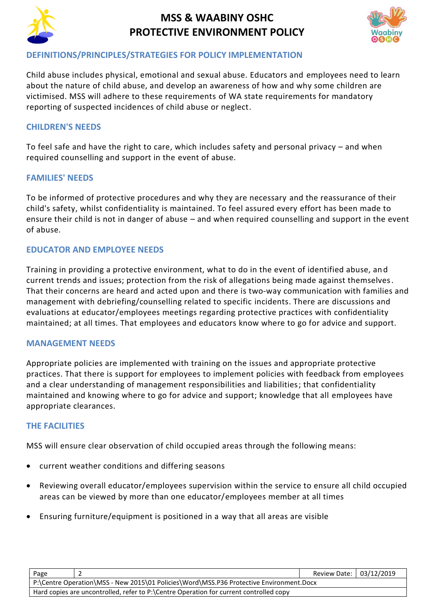



### **DEFINITIONS/PRINCIPLES/STRATEGIES FOR POLICY IMPLEMENTATION**

Child abuse includes physical, emotional and sexual abuse. Educators and employees need to learn about the nature of child abuse, and develop an awareness of how and why some children are victimised. MSS will adhere to these requirements of WA state requirements for mandatory reporting of suspected incidences of child abuse or neglect.

## **CHILDREN'S NEEDS**

To feel safe and have the right to care, which includes safety and personal privacy – and when required counselling and support in the event of abuse.

### **FAMILIES' NEEDS**

To be informed of protective procedures and why they are necessary and the reassurance of their child's safety, whilst confidentiality is maintained. To feel assured every effort has been made to ensure their child is not in danger of abuse – and when required counselling and support in the event of abuse.

### **EDUCATOR AND EMPLOYEE NEEDS**

Training in providing a protective environment, what to do in the event of identified abuse, and current trends and issues; protection from the risk of allegations being made against themselves. That their concerns are heard and acted upon and there is two-way communication with families and management with debriefing/counselling related to specific incidents. There are discussions and evaluations at educator/employees meetings regarding protective practices with confidentiality maintained; at all times. That employees and educators know where to go for advice and support.

#### **MANAGEMENT NEEDS**

Appropriate policies are implemented with training on the issues and appropriate protective practices. That there is support for employees to implement policies with feedback from employees and a clear understanding of management responsibilities and liabilities; that confidentiality maintained and knowing where to go for advice and support; knowledge that all employees have appropriate clearances.

### **THE FACILITIES**

MSS will ensure clear observation of child occupied areas through the following means:

- current weather conditions and differing seasons
- Reviewing overall educator/employees supervision within the service to ensure all child occupied areas can be viewed by more than one educator/employees member at all times
- Ensuring furniture/equipment is positioned in a way that all areas are visible

| Page                                                                                    | Review Date: 03/12/2019 |  |  |  |
|-----------------------------------------------------------------------------------------|-------------------------|--|--|--|
| P:\Centre Operation\MSS - New 2015\01 Policies\Word\MSS.P36 Protective Environment.Docx |                         |  |  |  |
| Hard copies are uncontrolled, refer to P:\Centre Operation for current controlled copy  |                         |  |  |  |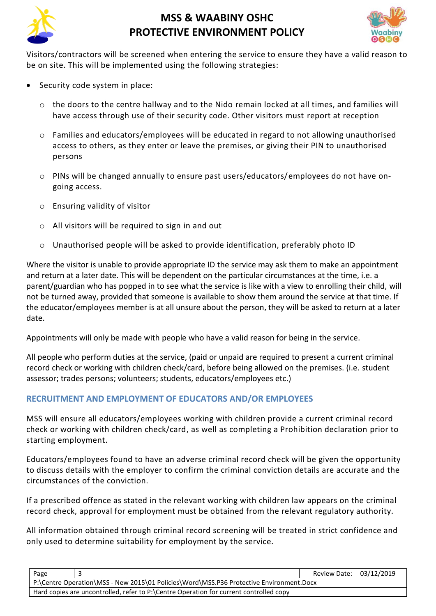



Visitors/contractors will be screened when entering the service to ensure they have a valid reason to be on site. This will be implemented using the following strategies:

- Security code system in place:
	- o the doors to the centre hallway and to the Nido remain locked at all times, and families will have access through use of their security code. Other visitors must report at reception
	- $\circ$  Families and educators/employees will be educated in regard to not allowing unauthorised access to others, as they enter or leave the premises, or giving their PIN to unauthorised persons
	- o PINs will be changed annually to ensure past users/educators/employees do not have ongoing access.
	- o Ensuring validity of visitor
	- o All visitors will be required to sign in and out
	- o Unauthorised people will be asked to provide identification, preferably photo ID

Where the visitor is unable to provide appropriate ID the service may ask them to make an appointment and return at a later date. This will be dependent on the particular circumstances at the time, i.e. a parent/guardian who has popped in to see what the service is like with a view to enrolling their child, will not be turned away, provided that someone is available to show them around the service at that time. If the educator/employees member is at all unsure about the person, they will be asked to return at a later date.

Appointments will only be made with people who have a valid reason for being in the service.

All people who perform duties at the service, (paid or unpaid are required to present a current criminal record check or working with children check/card, before being allowed on the premises. (i.e. student assessor; trades persons; volunteers; students, educators/employees etc.)

## **RECRUITMENT AND EMPLOYMENT OF EDUCATORS AND/OR EMPLOYEES**

MSS will ensure all educators/employees working with children provide a current criminal record check or working with children check/card, as well as completing a Prohibition declaration prior to starting employment.

Educators/employees found to have an adverse criminal record check will be given the opportunity to discuss details with the employer to confirm the criminal conviction details are accurate and the circumstances of the conviction.

If a prescribed offence as stated in the relevant working with children law appears on the criminal record check, approval for employment must be obtained from the relevant regulatory authority.

All information obtained through criminal record screening will be treated in strict confidence and only used to determine suitability for employment by the service.

| Page                                                                                    |  | Review Date: 03/12/2019 |  |  |
|-----------------------------------------------------------------------------------------|--|-------------------------|--|--|
| P:\Centre Operation\MSS - New 2015\01 Policies\Word\MSS.P36 Protective Environment.Docx |  |                         |  |  |
| Hard copies are uncontrolled, refer to P:\Centre Operation for current controlled copy  |  |                         |  |  |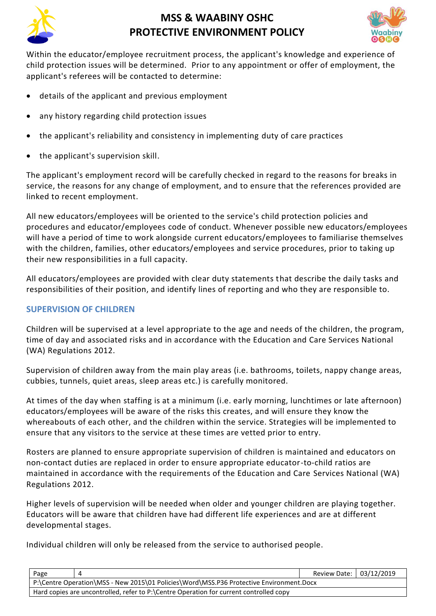



Within the educator/employee recruitment process, the applicant's knowledge and experience of child protection issues will be determined. Prior to any appointment or offer of employment, the applicant's referees will be contacted to determine:

- details of the applicant and previous employment
- any history regarding child protection issues
- the applicant's reliability and consistency in implementing duty of care practices
- the applicant's supervision skill.

The applicant's employment record will be carefully checked in regard to the reasons for breaks in service, the reasons for any change of employment, and to ensure that the references provided are linked to recent employment.

All new educators/employees will be oriented to the service's child protection policies and procedures and educator/employees code of conduct. Whenever possible new educators/employees will have a period of time to work alongside current educators/employees to familiarise themselves with the children, families, other educators/employees and service procedures, prior to taking up their new responsibilities in a full capacity.

All educators/employees are provided with clear duty statements that describe the daily tasks and responsibilities of their position, and identify lines of reporting and who they are responsible to.

### **SUPERVISION OF CHILDREN**

Children will be supervised at a level appropriate to the age and needs of the children, the program, time of day and associated risks and in accordance with the Education and Care Services National (WA) Regulations 2012.

Supervision of children away from the main play areas (i.e. bathrooms, toilets, nappy change areas, cubbies, tunnels, quiet areas, sleep areas etc.) is carefully monitored.

At times of the day when staffing is at a minimum (i.e. early morning, lunchtimes or late afternoon) educators/employees will be aware of the risks this creates, and will ensure they know the whereabouts of each other, and the children within the service. Strategies will be implemented to ensure that any visitors to the service at these times are vetted prior to entry.

Rosters are planned to ensure appropriate supervision of children is maintained and educators on non-contact duties are replaced in order to ensure appropriate educator-to-child ratios are maintained in accordance with the requirements of the Education and Care Services National (WA) Regulations 2012.

Higher levels of supervision will be needed when older and younger children are playing together. Educators will be aware that children have had different life experiences and are at different developmental stages.

Individual children will only be released from the service to authorised people.

| Page                                                                                    |  | Review Date: 03/12/2019 |  |  |
|-----------------------------------------------------------------------------------------|--|-------------------------|--|--|
| P:\Centre Operation\MSS - New 2015\01 Policies\Word\MSS.P36 Protective Environment.Docx |  |                         |  |  |
| Hard copies are uncontrolled, refer to P:\Centre Operation for current controlled copy  |  |                         |  |  |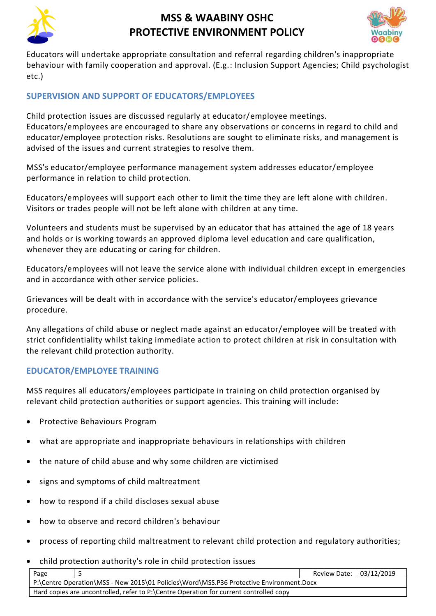



Educators will undertake appropriate consultation and referral regarding children's inappropriate behaviour with family cooperation and approval. (E.g.: Inclusion Support Agencies; Child psychologist etc.)

## **SUPERVISION AND SUPPORT OF EDUCATORS/EMPLOYEES**

Child protection issues are discussed regularly at educator/employee meetings. Educators/employees are encouraged to share any observations or concerns in regard to child and educator/employee protection risks. Resolutions are sought to eliminate risks, and management is advised of the issues and current strategies to resolve them.

MSS's educator/employee performance management system addresses educator/employee performance in relation to child protection.

Educators/employees will support each other to limit the time they are left alone with children. Visitors or trades people will not be left alone with children at any time.

Volunteers and students must be supervised by an educator that has attained the age of 18 years and holds or is working towards an approved diploma level education and care qualification, whenever they are educating or caring for children.

Educators/employees will not leave the service alone with individual children except in emergencies and in accordance with other service policies.

Grievances will be dealt with in accordance with the service's educator/employees grievance procedure.

Any allegations of child abuse or neglect made against an educator/employee will be treated with strict confidentiality whilst taking immediate action to protect children at risk in consultation with the relevant child protection authority.

### **EDUCATOR/EMPLOYEE TRAINING**

MSS requires all educators/employees participate in training on child protection organised by relevant child protection authorities or support agencies. This training will include:

- Protective Behaviours Program
- what are appropriate and inappropriate behaviours in relationships with children
- the nature of child abuse and why some children are victimised
- signs and symptoms of child maltreatment
- how to respond if a child discloses sexual abuse
- how to observe and record children's behaviour
- process of reporting child maltreatment to relevant child protection and regulatory authorities;
- child protection authority's role in child protection issues

| Page                                                                                    |  | Review Date: 03/12/2019 |  |  |
|-----------------------------------------------------------------------------------------|--|-------------------------|--|--|
| P:\Centre Operation\MSS - New 2015\01 Policies\Word\MSS.P36 Protective Environment.Docx |  |                         |  |  |
| Hard copies are uncontrolled, refer to P:\Centre Operation for current controlled copy  |  |                         |  |  |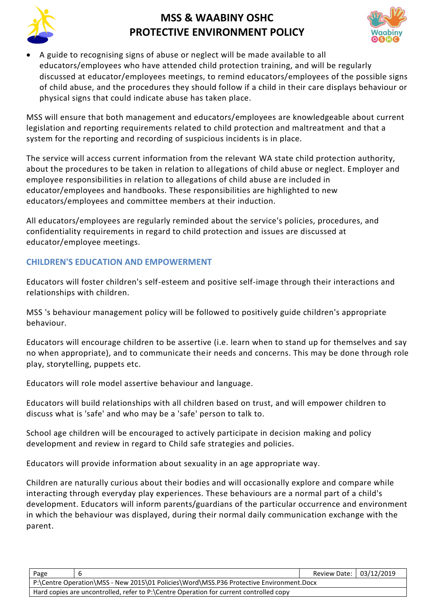



• A guide to recognising signs of abuse or neglect will be made available to all educators/employees who have attended child protection training, and will be regularly discussed at educator/employees meetings, to remind educators/employees of the possible signs of child abuse, and the procedures they should follow if a child in their care displays behaviour or physical signs that could indicate abuse has taken place.

MSS will ensure that both management and educators/employees are knowledgeable about current legislation and reporting requirements related to child protection and maltreatment and that a system for the reporting and recording of suspicious incidents is in place.

The service will access current information from the relevant WA state child protection authority, about the procedures to be taken in relation to allegations of child abuse or neglect. Employer and employee responsibilities in relation to allegations of child abuse are included in educator/employees and handbooks. These responsibilities are highlighted to new educators/employees and committee members at their induction.

All educators/employees are regularly reminded about the service's policies, procedures, and confidentiality requirements in regard to child protection and issues are discussed at educator/employee meetings.

## **CHILDREN'S EDUCATION AND EMPOWERMENT**

Educators will foster children's self-esteem and positive self-image through their interactions and relationships with children.

MSS 's behaviour management policy will be followed to positively guide children's appropriate behaviour.

Educators will encourage children to be assertive (i.e. learn when to stand up for themselves and say no when appropriate), and to communicate their needs and concerns. This may be done through role play, storytelling, puppets etc.

Educators will role model assertive behaviour and language.

Educators will build relationships with all children based on trust, and will empower children to discuss what is 'safe' and who may be a 'safe' person to talk to.

School age children will be encouraged to actively participate in decision making and policy development and review in regard to Child safe strategies and policies.

Educators will provide information about sexuality in an age appropriate way.

Children are naturally curious about their bodies and will occasionally explore and compare while interacting through everyday play experiences. These behaviours are a normal part of a child's development. Educators will inform parents/guardians of the particular occurrence and environment in which the behaviour was displayed, during their normal daily communication exchange with the parent.

| Page                                                                                    |  | Review Date: 03/12/2019 |  |  |
|-----------------------------------------------------------------------------------------|--|-------------------------|--|--|
| P:\Centre Operation\MSS - New 2015\01 Policies\Word\MSS.P36 Protective Environment.Docx |  |                         |  |  |
| Hard copies are uncontrolled, refer to P:\Centre Operation for current controlled copy  |  |                         |  |  |